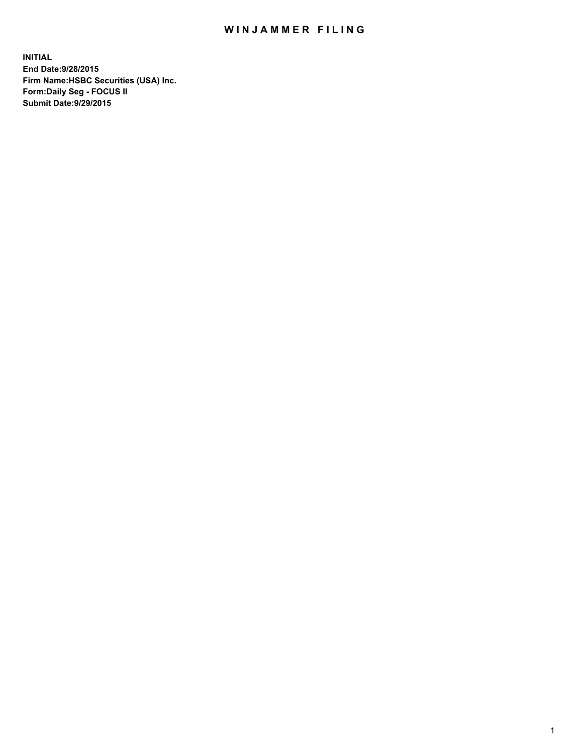## WIN JAMMER FILING

**INITIAL End Date:9/28/2015 Firm Name:HSBC Securities (USA) Inc. Form:Daily Seg - FOCUS II Submit Date:9/29/2015**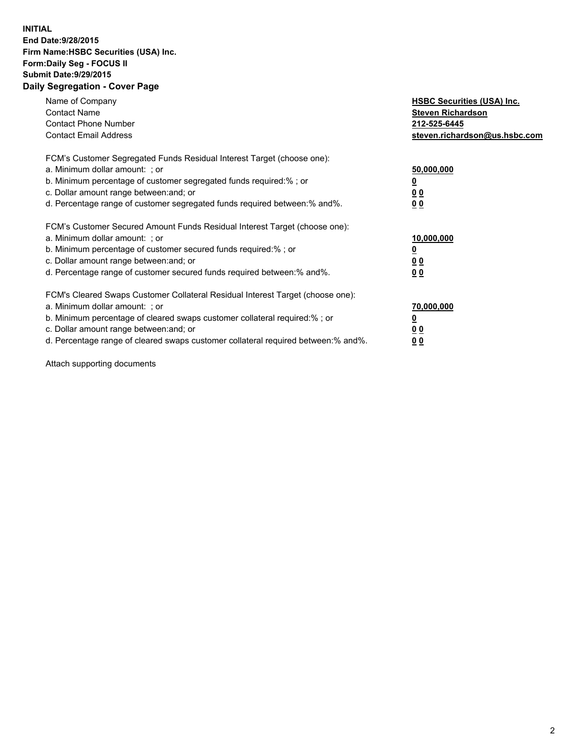## **INITIAL End Date:9/28/2015 Firm Name:HSBC Securities (USA) Inc. Form:Daily Seg - FOCUS II Submit Date:9/29/2015 Daily Segregation - Cover Page**

| Name of Company<br><b>Contact Name</b><br><b>Contact Phone Number</b><br><b>Contact Email Address</b>                                                                                                                                                                                                                         | <b>HSBC Securities (USA) Inc.</b><br><b>Steven Richardson</b><br>212-525-6445<br>steven.richardson@us.hsbc.com |
|-------------------------------------------------------------------------------------------------------------------------------------------------------------------------------------------------------------------------------------------------------------------------------------------------------------------------------|----------------------------------------------------------------------------------------------------------------|
| FCM's Customer Segregated Funds Residual Interest Target (choose one):<br>a. Minimum dollar amount: ; or<br>b. Minimum percentage of customer segregated funds required:%; or<br>c. Dollar amount range between: and; or<br>d. Percentage range of customer segregated funds required between:% and%.                         | 50,000,000<br>00<br>0 <sub>0</sub>                                                                             |
| FCM's Customer Secured Amount Funds Residual Interest Target (choose one):<br>a. Minimum dollar amount: ; or<br>b. Minimum percentage of customer secured funds required:%; or<br>c. Dollar amount range between: and; or<br>d. Percentage range of customer secured funds required between:% and%.                           | 10,000,000<br>0 <sub>0</sub><br>00                                                                             |
| FCM's Cleared Swaps Customer Collateral Residual Interest Target (choose one):<br>a. Minimum dollar amount: ; or<br>b. Minimum percentage of cleared swaps customer collateral required:%; or<br>c. Dollar amount range between: and; or<br>d. Percentage range of cleared swaps customer collateral required between:% and%. | 70,000,000<br><u>00</u><br><u>00</u>                                                                           |

Attach supporting documents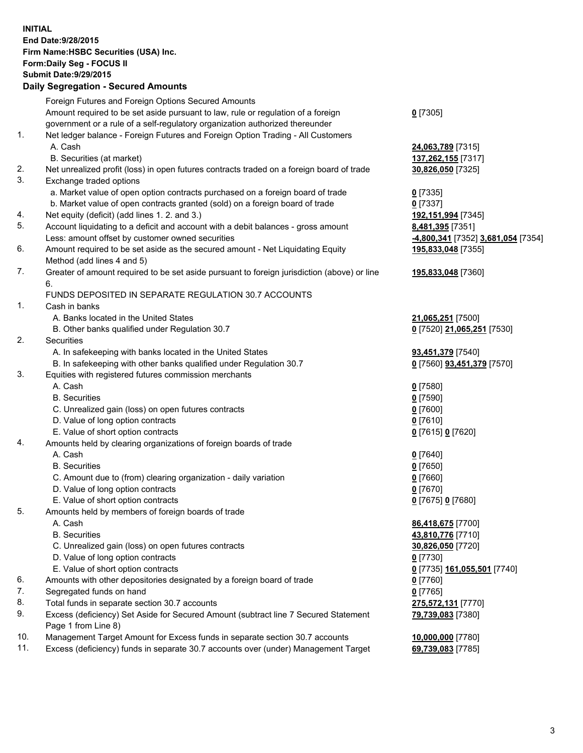**INITIAL End Date:9/28/2015 Firm Name:HSBC Securities (USA) Inc. Form:Daily Seg - FOCUS II Submit Date:9/29/2015 Daily Segregation - Secured Amounts**

Foreign Futures and Foreign Options Secured Amounts Amount required to be set aside pursuant to law, rule or regulation of a foreign government or a rule of a self-regulatory organization authorized thereunder **0** [7305] 1. Net ledger balance - Foreign Futures and Foreign Option Trading - All Customers A. Cash **24,063,789** [7315] B. Securities (at market) **137,262,155** [7317] 2. Net unrealized profit (loss) in open futures contracts traded on a foreign board of trade **30,826,050** [7325] 3. Exchange traded options a. Market value of open option contracts purchased on a foreign board of trade **0** [7335] b. Market value of open contracts granted (sold) on a foreign board of trade **0** [7337] 4. Net equity (deficit) (add lines 1. 2. and 3.) **192,151,994** [7345] 5. Account liquidating to a deficit and account with a debit balances - gross amount **8,481,395** [7351] Less: amount offset by customer owned securities **-4,800,341** [7352] **3,681,054** [7354] 6. Amount required to be set aside as the secured amount - Net Liquidating Equity Method (add lines 4 and 5) **195,833,048** [7355] 7. Greater of amount required to be set aside pursuant to foreign jurisdiction (above) or line 6. **195,833,048** [7360] FUNDS DEPOSITED IN SEPARATE REGULATION 30.7 ACCOUNTS 1. Cash in banks A. Banks located in the United States **21,065,251** [7500] B. Other banks qualified under Regulation 30.7 **0** [7520] **21,065,251** [7530] 2. Securities A. In safekeeping with banks located in the United States **93,451,379** [7540] B. In safekeeping with other banks qualified under Regulation 30.7 **0** [7560] **93,451,379** [7570] 3. Equities with registered futures commission merchants A. Cash **0** [7580] B. Securities **0** [7590] C. Unrealized gain (loss) on open futures contracts **0** [7600] D. Value of long option contracts **0** [7610] E. Value of short option contracts **0** [7615] **0** [7620] 4. Amounts held by clearing organizations of foreign boards of trade A. Cash **0** [7640] B. Securities **0** [7650] C. Amount due to (from) clearing organization - daily variation **0** [7660] D. Value of long option contracts **0** [7670] E. Value of short option contracts **0** [7675] **0** [7680] 5. Amounts held by members of foreign boards of trade A. Cash **86,418,675** [7700] B. Securities **43,810,776** [7710] C. Unrealized gain (loss) on open futures contracts **30,826,050** [7720] D. Value of long option contracts **0** [7730] E. Value of short option contracts **0** [7735] **161,055,501** [7740] 6. Amounts with other depositories designated by a foreign board of trade **0** [7760] 7. Segregated funds on hand **0** [7765] 8. Total funds in separate section 30.7 accounts **275,572,131** [7770] 9. Excess (deficiency) Set Aside for Secured Amount (subtract line 7 Secured Statement Page 1 from Line 8) **79,739,083** [7380] 10. Management Target Amount for Excess funds in separate section 30.7 accounts **10,000,000** [7780] 11. Excess (deficiency) funds in separate 30.7 accounts over (under) Management Target **69,739,083** [7785]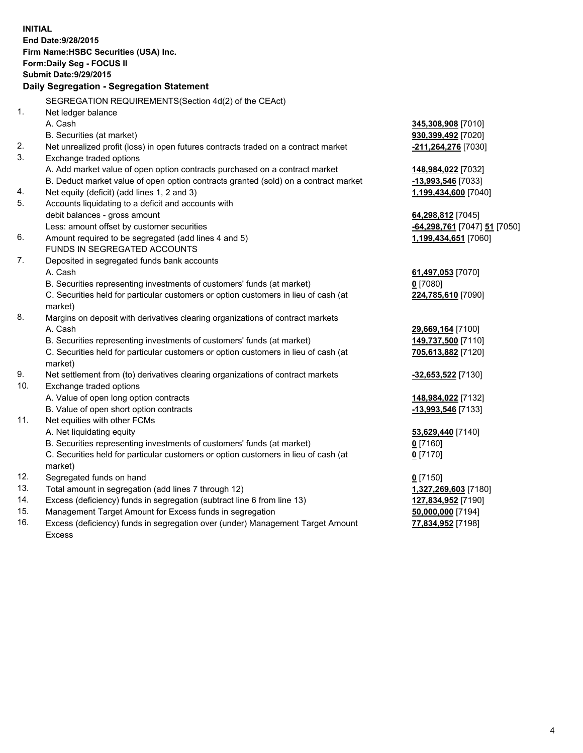|                                           | <b>INITIAL</b>                                                                                 |                              |  |  |
|-------------------------------------------|------------------------------------------------------------------------------------------------|------------------------------|--|--|
| End Date: 9/28/2015                       |                                                                                                |                              |  |  |
| Firm Name: HSBC Securities (USA) Inc.     |                                                                                                |                              |  |  |
| Form: Daily Seg - FOCUS II                |                                                                                                |                              |  |  |
| <b>Submit Date: 9/29/2015</b>             |                                                                                                |                              |  |  |
| Daily Segregation - Segregation Statement |                                                                                                |                              |  |  |
|                                           | SEGREGATION REQUIREMENTS(Section 4d(2) of the CEAct)                                           |                              |  |  |
| 1.                                        | Net ledger balance                                                                             |                              |  |  |
|                                           | A. Cash                                                                                        | 345,308,908 [7010]           |  |  |
|                                           | B. Securities (at market)                                                                      | 930,399,492 [7020]           |  |  |
| 2.                                        | Net unrealized profit (loss) in open futures contracts traded on a contract market             | -211,264,276 [7030]          |  |  |
| 3.                                        | Exchange traded options                                                                        |                              |  |  |
|                                           | A. Add market value of open option contracts purchased on a contract market                    | 148,984,022 [7032]           |  |  |
|                                           | B. Deduct market value of open option contracts granted (sold) on a contract market            | -13,993,546 [7033]           |  |  |
| 4.                                        | Net equity (deficit) (add lines 1, 2 and 3)                                                    | 1,199,434,600 [7040]         |  |  |
| 5.                                        | Accounts liquidating to a deficit and accounts with                                            |                              |  |  |
|                                           | debit balances - gross amount                                                                  | 64,298,812 [7045]            |  |  |
|                                           | Less: amount offset by customer securities                                                     | -64,298,761 [7047] 51 [7050] |  |  |
| 6.                                        | Amount required to be segregated (add lines 4 and 5)                                           | 1,199,434,651 [7060]         |  |  |
|                                           | FUNDS IN SEGREGATED ACCOUNTS                                                                   |                              |  |  |
| 7.                                        | Deposited in segregated funds bank accounts                                                    |                              |  |  |
|                                           | A. Cash                                                                                        | 61,497,053 [7070]            |  |  |
|                                           | B. Securities representing investments of customers' funds (at market)                         | $0$ [7080]                   |  |  |
|                                           | C. Securities held for particular customers or option customers in lieu of cash (at            | 224,785,610 [7090]           |  |  |
|                                           | market)                                                                                        |                              |  |  |
| 8.                                        | Margins on deposit with derivatives clearing organizations of contract markets                 |                              |  |  |
|                                           | A. Cash                                                                                        | 29,669,164 [7100]            |  |  |
|                                           | B. Securities representing investments of customers' funds (at market)                         | 149,737,500 [7110]           |  |  |
|                                           | C. Securities held for particular customers or option customers in lieu of cash (at            | 705,613,882 [7120]           |  |  |
|                                           | market)                                                                                        |                              |  |  |
| 9.                                        | Net settlement from (to) derivatives clearing organizations of contract markets                | <u>-32,653,522</u> [7130]    |  |  |
| 10.                                       | Exchange traded options                                                                        |                              |  |  |
|                                           | A. Value of open long option contracts                                                         | 148,984,022 [7132]           |  |  |
|                                           | B. Value of open short option contracts                                                        | -13,993,546 [7133]           |  |  |
| 11.                                       | Net equities with other FCMs                                                                   |                              |  |  |
|                                           | A. Net liquidating equity                                                                      | 53,629,440 [7140]            |  |  |
|                                           | B. Securities representing investments of customers' funds (at market)                         | <u>0</u> [7160]              |  |  |
|                                           | C. Securities held for particular customers or option customers in lieu of cash (at<br>market) | $0$ [7170]                   |  |  |
| 12.                                       | Segregated funds on hand                                                                       | $0$ [7150]                   |  |  |
| 13.                                       | Total amount in segregation (add lines 7 through 12)                                           | 1,327,269,603 [7180]         |  |  |
| 14.                                       | Excess (deficiency) funds in segregation (subtract line 6 from line 13)                        | 127,834,952 [7190]           |  |  |
| 15.                                       | Management Target Amount for Excess funds in segregation                                       | 50,000,000 [7194]            |  |  |
| 16.                                       | Excess (deficiency) funds in segregation over (under) Management Target Amount                 | 77,834,952 [7198]            |  |  |

16. Excess (deficiency) funds in segregation over (under) Management Target Amount Excess